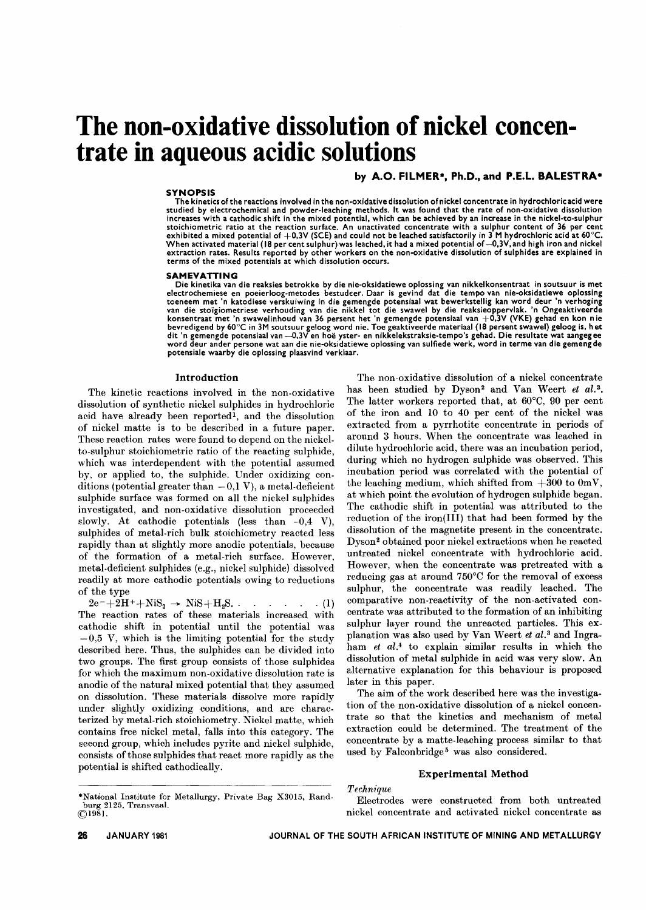# **The non-oxidative dissolution of nickel concentrate in aqueous acidic solutions**

# by A.O. FILMER\*, Ph.D., and P.E.L. BALESTRA\*

# SYNOPSIS

The kinetics of the reactions involved in the non-oxidative dissolution of nickel concentrate in hydrochloric acid were studied by electrochemlcal and powder-leaching methods. It was found that the rate of non-oxidative dissolution increases with a cathodic shift in the mixed potential, which can be achieved by an increase in the nickel-to-sulphui<br>stoichiometric ratio at the reaction surface. An unactivated concentrate with a sulphur content of 36 pe extraction rates. Results reported by other workers on the non-oxidative dissolution of sulphides are explained in terms of the mixed potentials at which dissolution occurs.

#### SAMEVATTING

Die kinetika van die reaksies betrokke by die nie-oksidatiewe oplossing van nikkelkonsentraat in soutsuur is me<br>electrochemiese en poeierloog-metodes bestudeer. Daar is gevind dat die tempo van nie-oksidatiewe oploss konsentraat met 'n swawelinhoud van 36 persent het 'n gemengde potensiaal van +0,3V (VKE) gehad en kon nie bevredigend by 60°C in 3M soutsuur geloog word nie. Toe geaktiveerde materiaal (18 persent swawel) geloog is, hei<br>dit 'n gemengde potensiaal van —0,3V en hoë yster- en nikkelekstraksie-tempo's gehad. Die resultate wat aang potenslale waarby die oplossing plaasvind verklaar.

# Introduction

The kinetic reactions involved in the non-oxidative dissolution of synthetic nickel sulphides in hydrochloric acid have already been reported<sup>1</sup>, and the dissolution of nickel matte is to be described in a future paper. These reaction rates were found to depend on the nickelto-sulphur stoichiometric ratio of the reacting sulphide, which was interdependent with the potential assumed by, or applied to, the sulphide. Under oxidizing conditions (potential greater than  $-0.1$  V), a metal-deficie sulphide surface was formed on all the nickel sulphides investigated, and non-oxidative dissolution proceeded slowly. At cathodic potentials (less than  $-0.4$  V), sulphides of metal-rich bulk stoichiometry reacted less rapidly than at slightly more anodic potentials, because of the formation of a metal-rich surface. However, metal-deficient sulphides (e.g., nickel sulphide) dissolved readily at more cathodic potentials owing to reductions of the type

 $2e^-+2H^+ + NiS_2 \rightarrow NiS + H_2S$ . . . . . . . (1) The reaction rates of these materials increased with cathodic shift in potential until the potential was  $-0.5$  V, which is the limiting potential for the study described here. Thus, the sulphides can be divided into two groups. The first group consists of those sulphides for which the maximum non-oxidative dissolution rate is anodic of the natural mixed potential that they assumed on dissolution. These materials dissolve more rapidly under slightly oxidizing conditions, and are characterized by metal-rich stoichiometry. Nickel matte, which contains free nickel metal, falls into this category. The second group, which includes pyrite and nickel sulphide, consists ofthose sulphides that react more rapidly as the potential is shifted cathodically.

\*Nationa1 Institute for Metallurgy, Private Bag X3015, Rand $burg 2125, Transvas$  $\bigcirc$ 1981.

The non-oxidative dissolution of a nickel concentrate has been studied by Dyson<sup>2</sup> and Van Weert *et al.*<sup>3</sup>. The latter workers reported that, at 60°C, 90 per cent of the iron and 10 to 40 per cent of the nickel was extracted from a pyrrhotite concentrate in periods of around 3 hours. When the concentrate was leached in dilute hydrochloric acid, there was an incubation period, during which no hydrogen sulphide was observed. This incubation period was correlated with the potential of the leaching medium, which shifted from  $+300$  to  $0mV$ , at which point the evolution of hydrogen sulphide began. The cathodic shift in potential was attributed to the reduction of the iron(III) that had been formed by the dissolution of the magnetite present in the concentrate. Dyson 2 obtained poor nickel extractions when he reacted untreated nickel concentrate with hydrochloric acid. However, when the concentrate was pretreated with a reducing gas at around  $750^{\circ}$ C for the removal of excess sulphur, the concentrate was readily leached. The comparative non-reactivity of the non-activated concentrate was attributed to the formation of an inhibiting sulphur layer round the unreacted particles. This explanation was also used by Van Weert *et al.3* and Ingraham *et al.4* to explain similar results in which the dissolution of metal sulphide in acid was very slow. An alternative explanation for this behaviour is proposed later in this paper.

The aim of the work described here was the investigation of the non-oxidative dissolution of a nickel concentrate so that the kinetics and mechanism of metal extraction could be determined. The treatment of the concentrate by a matte-leaching process similar to that used by Falconbridge<sup>5</sup> was also considered.

# Experimental Method

### *Techm'que*

Electrodes were constructed from both untreated nickel concentrate and activated nickel concentrate as

JANUARY 1981 JOURNAL OF THE SOUTH AFRICAN INSTITUTE OF MINING AND METALLURGY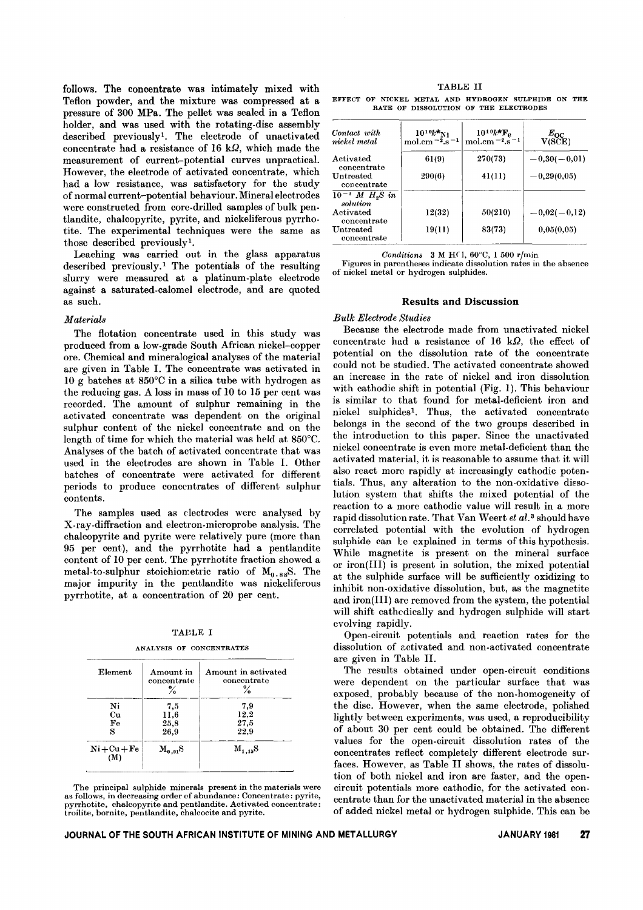follows. The concentrate was intimately mixed with Teflon powder, and the mixture was compressed at a pressure of 300 MPa. The pellet was sealed in a Teflon holder, and was used with the rotating-disc assembly described previously!. The electrode of unactivated concentrate had a resistance of 16 k $\Omega$ , which made the measurement of current-potential curves unpractical. However, the electrode of activated concentrate, which had a low resistance, was satisfactory for the study of normal current-potential behaviour. Mineral electrodes were constructed from core-drilled samples of bulk pentlandite, chalcopyrite, pyrite, and nickeliferous pyrrhotite. The experimental techniques were the same as those described previously<sup>1</sup>.

Leaching was carried out in the glass apparatus described previously.<sup>1</sup> The potentials of the resulting slurry were measured at a platinum-plate electrode against a saturated-calomel electrode, and are quoted as such.

## *Materials*

The flotation concentrate used in this study was produced from a low-grade South African nickel-copper ore. Chemical and mineralogical analyses of the material are given in Table I. The concentrate was activated in 10 g batches at 850°C in a silica tube with hydrogen as the reducing gas. A loss in mass of 10 to 15 per cent was recorded. The amount of sulphur remaining in the activated concentrate was dependent on the original sulphur content of the nickel concentrate and on the length of time for which the material was held at 850°C. Analyses of the batch of activated concentrate that was used in the electrodes are shown in Table I. Other batches of concentrate were activated for different periods to produce concentrates of different sulphur contents.

The samples used as electrodes were analysed by X-ray-diffraction and electron-microprobe analysis. The chalcopyrite and pyrite were relatively pure (more than 95 per cent), and the pyrrhotite had a pentlandite content of 10 per cent. The pyrrhotite fraction showed a metal-to-sulphur stoichiometric ratio of  $M_{0.88}S$ . The major impurity in the pentlandite was nickeliferous pyrrhotite, at a concentration of 20 per cent.

| гэ.<br>r<br>$\cdot$<br> |  |
|-------------------------|--|
|-------------------------|--|

ANALYSIS OF CONCENTRATES

| Element           | Amount in<br>concentrate | Amount in activated<br>concentrate<br>℅ |
|-------------------|--------------------------|-----------------------------------------|
| Ni                | 7.5                      | 7.9                                     |
| Cu<br>$_{\rm Fe}$ | 11,6<br>25,8             | 12,2<br>27,5                            |
| s                 | 26.9                     | 22.9                                    |
| $Ni + Cu + Fe$    | $\rm M_{0-91}S$          | $M_{1.15}S$                             |

The principal sulphide minerals present in the materials were as follows, in decreasing order of abundance: Concentrate: pyrite, pyrrhotite, chalcopyrite and pentlandite. Activated concentra<br>troilite, bornite, pentlandite, chalcocite and pyrite.

| TABLE II |  |  |  |  |                                                     |  |  |
|----------|--|--|--|--|-----------------------------------------------------|--|--|
|          |  |  |  |  | EFFECT OF NICKEL METAL AND HYDROGEN SULPHIDE ON THE |  |  |
|          |  |  |  |  | RATE OF DISSOLUTION OF THE ELECTRODES               |  |  |

| Contact with<br>nickel metal        | $10^{10}k^{*}$ N <sub>1</sub><br>mol.cm $-2.8 - 1$ | $10^{10}k^*F_e$<br>mol.cm $^{-2}$ .s <sup><math>-1</math></sup> | $\frac{E_{\rm OC}}{\rm V(SCE)}$ |
|-------------------------------------|----------------------------------------------------|-----------------------------------------------------------------|---------------------------------|
| Activated<br>concentrate            | 61(9)                                              | 270(73)                                                         | $-0,30(-0,01)$                  |
| Untreated<br>concentrate            | 290(6)                                             | 41(11)                                                          | $-0,29(0,05)$                   |
| $10^{-3}$ M $H_{2}S$ in<br>solution |                                                    |                                                                 |                                 |
| Activated<br>concentrate            | 12(32)                                             | 50(210)                                                         | $-0,02(-0,12)$                  |
| Untreated<br>concentrate            | 19(11)                                             | 83(73)                                                          | 0,05(0,05)                      |

*Conditions* 3 M H(1, 60°C, 1 500 r/min

Figures in parentheses indicate dissolution rates in the absence of nickel metal or hydrogen sulphides.

# Results and Discussion

# *Bulk Electrode Studies*

Because the electrode made from unactivated nickel concentrate had a resistance of  $16 \text{ k}\Omega$ , the effect of potential on the dissolution rate of the concentrate could not be studied. The activated concentrate showed an increase in the rate of nickel and iron dissolution with cathodic shift in potential (Fig. 1). This behaviour is similar to that found for metal-deficient iron and nickel sulphides!. Thus, the activated concentrate belongs in the second of the two groups described in the introduction to this paper. Since the unactivated nickel concentrate is even more metal-deficient than the activated material, it is reasonable to assume that it will also react more rapidly at increasingly cathodic potentials. Thus, any alteration to the non-oxidative dissolution system that shifts the mixed potential of the reaction to a more cathodic value will result in a more rapid dissolution rate. That Van Weert *et al.3* should have correlated potential with the evolution of hydrogen sulphide can be explained in terms of this hypothesis. While magnetite is present on the mineral surface or iron(III) is present in solution, the mixed potential at the sulphide surface will be sufficiently oxidizing to inhibit non-oxidative dissolution, but, as the magnetite and iron(III) are removed from the system, the potential will shift cathcdically and hydrogen sulphide will start evolving rapidly.

Open-circuit potentials and reaction rates for the dissolution of activated and non-activated concentrate are given in Table 11.

The results obtained under open-circuit conditions were dependent on the particular surface that was exposed, probably because of the non-homogeneity of the disc. However, when the same electrode, polished lightly between experiments, was used, a reproducibility of about 30 per cent could be obtained. The different values for the open-circuit dissolution rates of the concentrates reflect completely different electrode surfaces. However, as Table 11 shows, the rates of dissolution of both nickel and iron are faster, and the opencircuit potentials more cathodic, for the activated concentrate than for the unactivated material in the absence of added nickel metal or hydrogen sulphide. This can be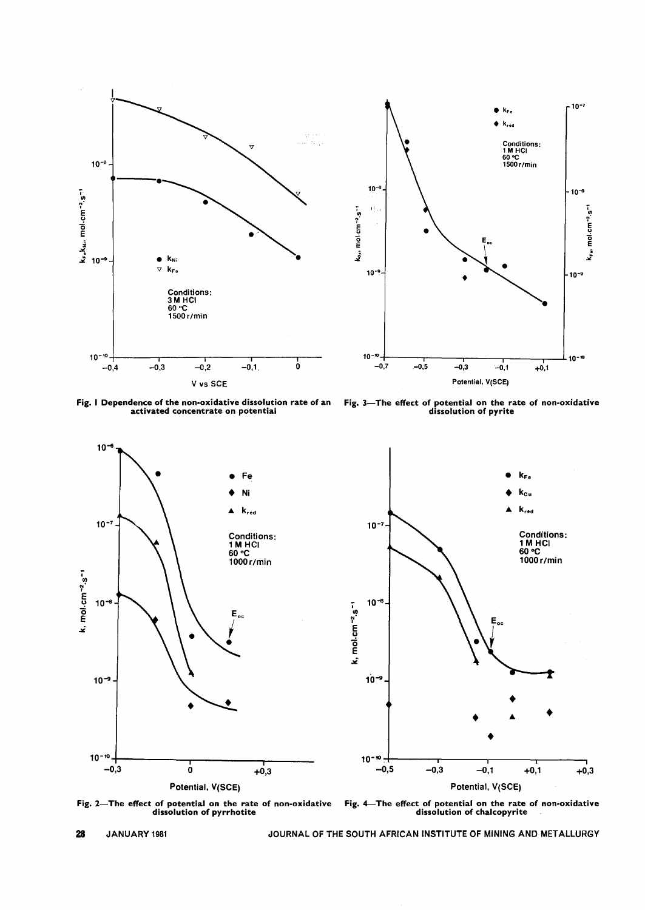

Fig. I Dependence of the non-oxidative dissolution rate of an activated concentrate on potential

Fig. 3- The effect of potential on the rate of non-oxidat dissolution of pyrit



Fig. 2-The effect of potential on the rate of non-oxidati dissolution of pyrrhot

Fig. 4—The effect of potential on the rate of non-oxidat<br>dissolution of chalcopyrite

JANUARY 1981 JOURNAL OF THE SOUTH AFRICAN INSTITUTE OF MINING AND METALLURGY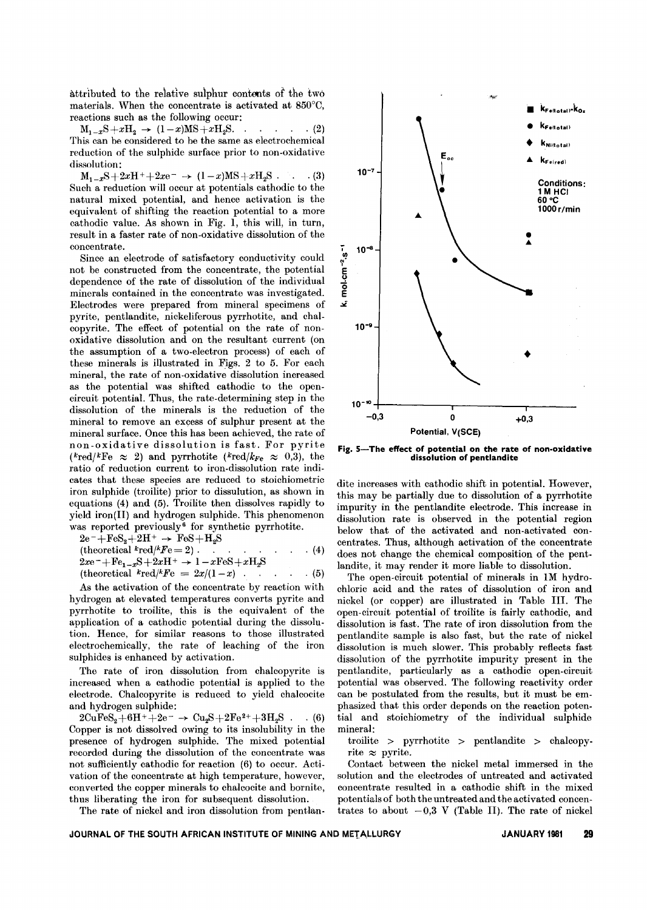attributed to the relative sulphur contents *of* the two materials. When the concentrate is activated at 850°C, reactions such as the following occur:

 $M_{1-x}S+xH_2 \rightarrow (1-x)MS+xH_2S.$  . . . . (2) This can be considered to be the same as electrochemical reduction of the sulphide surface prior to non-oxidative dissolution:

 $M_{1-x}S+2xH^++2xe^-\rightarrow (1-x)MS+xH_2S$  . . (3) Such a reduction will occur at potentials cathodic to the natural mixed potential, and hence activation is the equivalent of shifting the reaction potential to a more cathodic value. As shown in Fig. 1, this will, in turn, result in a faster rate of non-oxidative dissolution of the concentrate.

Since an electrode of satisfactory conductivity could not be constructed from the concentrate, the potential dependence of the rate of dissolution of the individual minerals contained in the concentrate was investigated. Electrodes were prepared from mineral specimens of pyrite, pentlandite, nickeliferous pyrrhotite, and chalcopyrite. The effect of potential on the rate of nonoxidative dissolution and on the resultant current (on the assumption of a two-electron process) of each of these minerals is illustrated in Figs. 2 to 5. For each mineral, the rate of non-oxidative dissolution increased as the potential was shifted cathodic to the opencircuit potential. Thus, the rate-determining step in the dissolution of the minerals is the reduction of the mineral to remove an excess of sulphur present at the mineral surface. Once this has been achieved, the rate of non-oxidative dissolution is fast. For pyrite ( $k_{\text{red}}/k_{\text{Fe}} \approx 2$ ) and pyrrhotite ( $k_{\text{red}}/k_{\text{Fe}} \approx 0.3$ ), the ratio of reduction current to iron-dissolution rate indicates that these species are reduced to stoichiometric iron sulphide (troilite) prior to dissulution, as shown in equations (4) and (5). Troilite then dissolves rapidly to yield iron(II) and hydrogen sulphide. This phenomenon was reported previously<sup>6</sup> for synthetic pyrrhotite.

$$
2e^- + FeS_2 + 2H^+ \rightarrow FeS + H_2S
$$
  
(theoretical  $l^k \text{red}/l^k F = 2$ ) . . . . . . . . . . . (4)  

$$
2xe^- + Fe_{1-x}S + 2xH^+ \rightarrow 1 - xFeS + xH_2S
$$

(theoretical *kredjkFe* = 2xj(1-x) . . (5)

As the activation of the concentrate by reaction with hydrogen at elevated temperatures converts pyrite and pyrrhotite to troilite, this is the equivalent of the application of a cathodic potential during the dissolution. Hence, for similar reasons to those illustrated electrochemically, the rate of leaching of the iron sulphides is enhanced by activation.

The rate of iron dissolution from chalcopyrite is increased when a cathodic potential is applied to the electrode. Chalcopyrite is reduced to yield chalcocite and hydrogen sulphide:

 $2CuFeS_2 + 6H^+ + 2e^- \rightarrow Cu_2S + 2Fe^{2+} + 3H_2S$ . (6) Copper is not dissolved owing to its insolubility in the presence of hydrogen sulphide. The mixed potential recorded during the dissolution of the concentrate was not sufficiently cathodic for reaction (6) to occur. Activation of the concentrate at high temperature, however, converted the copper minerals to chalcocite and bornite, thus liberating the iron for subsequent dissolution.

The rate of nickel and iron dissolution from pentlan-



Fig. 5-The effect of potential on the rate of non-oxidative dissolution of pentlandite

dite increases with cathodic shift in potential. However, this may be partially due to dissolution of a pyrrhotite impurity in the pentlandite electrode. This increase in dissolution rate is observed in the potential region below that of the activated and non-activated concentrates. Thus, although activation of the concentrate does not change the chemical composition of the pentlandite, it may render it more liable to dissolution.

The open-circuit potential of minerals in IM hydrochloric acid and the rates of dissolution of iron and nickel (or copper) are illustrated in Table Ill. The open-circuit potential of troilite is fairly cathodic, and dissolution is fast. The rate of iron dissolution from the pentlandite sample is also fast, but the rate of nickel dissolution is much slower. This probably reflects fast dissolution of the pyrrhotite impurity present in the pentlandite, particularly as a cathodic open-circuit potential was observed. The following reactivity order can be postulated from the results, but it must be emphasized that this order depends on the reaction potential and stoichiometry of the individual sulphide mineral:

troilite > pyrrhotite > pentlandite > chalcopyrite  $\approx$  pyrite.

Contact between the nickel metal immersed in the solution and the electrodes of untreated and activated concentrate resulted in a cathodic shift in the mixed potentials of both the untreated and the activated concentrates to about  $-0.3$  V (Table II). The rate of nickel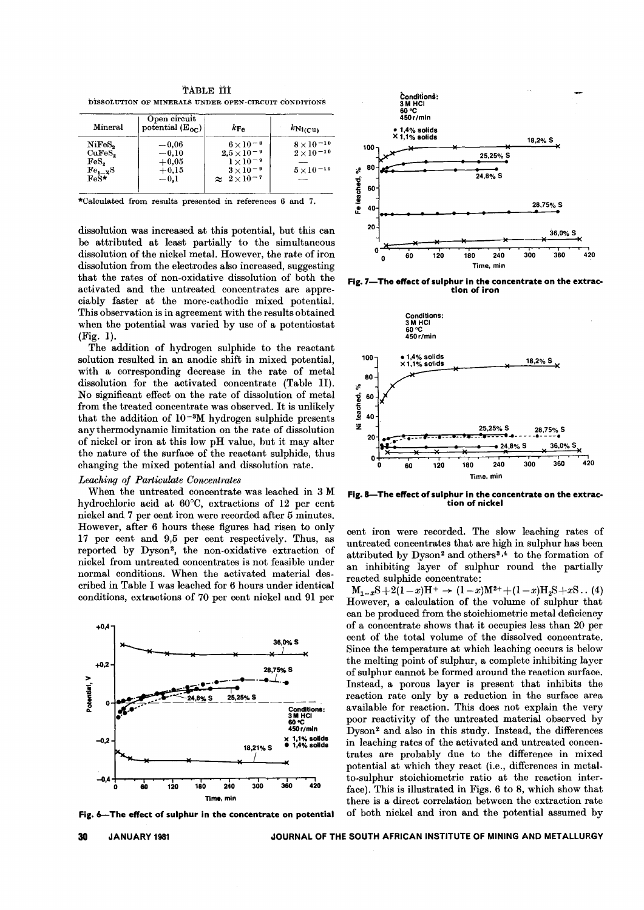TABLE TIT bisSOLUTION OF MINERALS UNDER OPEN-CIRCUIT CONDITIONS

| Mineral                                                       | Open circuit<br>potential $(E_{0c})$               | $k_{\text{Fe}}$                                                                                                      | $kN_{1(CU)}$                                                    |
|---------------------------------------------------------------|----------------------------------------------------|----------------------------------------------------------------------------------------------------------------------|-----------------------------------------------------------------|
| NiFeS,<br>CuFeS,<br>FeS <sub>o</sub><br>$Fe_{--x}S$<br>$FeS*$ | $-0.06$<br>$-0.10$<br>$+0.05$<br>$+0.15$<br>$-0.1$ | $6 \times 10^{-8}$<br>$2.5 \times 10^{-9}$<br>$1 \times 10^{-9}$<br>$3 \times 10^{-9}$<br>$\approx 2 \times 10^{-7}$ | $8 \times 10^{-10}$<br>$2\times10^{-10}$<br>$5 \times 10^{-10}$ |

\*Calculated from results presented in references 6 and 7.

dissolution was increased at this potential, but this can be attributed at least partially to the simultaneous dissolution of the nickel metal. However, the rate of iron dissolution from the electrodes also increased, suggesting that the rates of non-oxidative dissolution of both the activated and the untreated concentrates are appreciably faster at the more-cathodic mixed potential. This observation is in agreement with the results obtained when the potential was varied by use of a potentiostat (Fig. 1).

The addition of hydrogen sulphide to the reactant solution resulted in an anodic shift in mixed potential, with a corresponding decrease in the rate of metal dissolution for the activated concentrate (Table II). No significant effect on the rate of dissolution of metal from the treated concentrate was observed. It is unlikely that the addition of  $10^{-3}M$  hydrogen sulphide presents any thermodynamic limitation on the rate of dissolution of nickel or iron at this low pH value, but it may alter the nature of the surface of the reactant sulphide, thus changing the mixed potential and dissolution rate.

#### *Leaching of Particulate Concentrates*

When the untreated concentrate was leached in 3 M hydrochloric acid at 60°C, extractions of 12 per cent nickel and 7 per cent iron were recorded after 5 minutes. However, after 6 hours these figures had risen to only 17 per cent and 9,5 per cent respectively. Thus, as reported by Dyson2, the non-oxidative extraction of nickel from untreated concentrates is not feasible under normal conditions. When the activated material described in Table I was leached for 6 hours under identical conditions, extractions of 70 per cent nickel and 91 per



Fig. 6-The effect of sulphur in the concentrate on potential



Fig. 7- The effect of sulphur in the concentrate on the extraction of iron



Fig. 8-The effect of sulphur in the concentrate on the extraction of nickel

cent iron were recorded. The slow leaching rates of untreated concentrates that are high in sulphur has been attributed by Dyson<sup>2</sup> and others<sup>3,4</sup> to the formation of an inhibiting layer of sulphur round the partially reacted sulphide concentrate:

 $M_{1-x}S+2(1-x)H^+ \rightarrow (1-x)M^{2+}+(1-x)H_2S+xS$ .. (4) However, a calculation of the volume of sulphur that can be produced from the stoichiometric metal deficiency of a concentrate shows that it occupies less than 20 per cent of the total volume of the dissolved concentrate. Since the temperature at which leaching occurs is below the melting point of sulphur, a complete inhibiting layer of sulphur cannot be formed around the reaction surface. Instead, a porous layer is present that inhibits the reaction rate only by a reduction in the surface area available for reaction. This does not explain the very poor reactivity of the untreated material observed by Dyson2 and also in this study. Instead, the differences in leaching rates of the activated and untreated concentrates are probably due to the difference in mixed potential at which they react (i.e., differences in metalto-sulphur stoichiometric ratio at the reaction interface). This is illustrated in Figs. 6 to 8, which show that there is a direct correlation between the extraction rate of both nickel and iron and the potential assumed by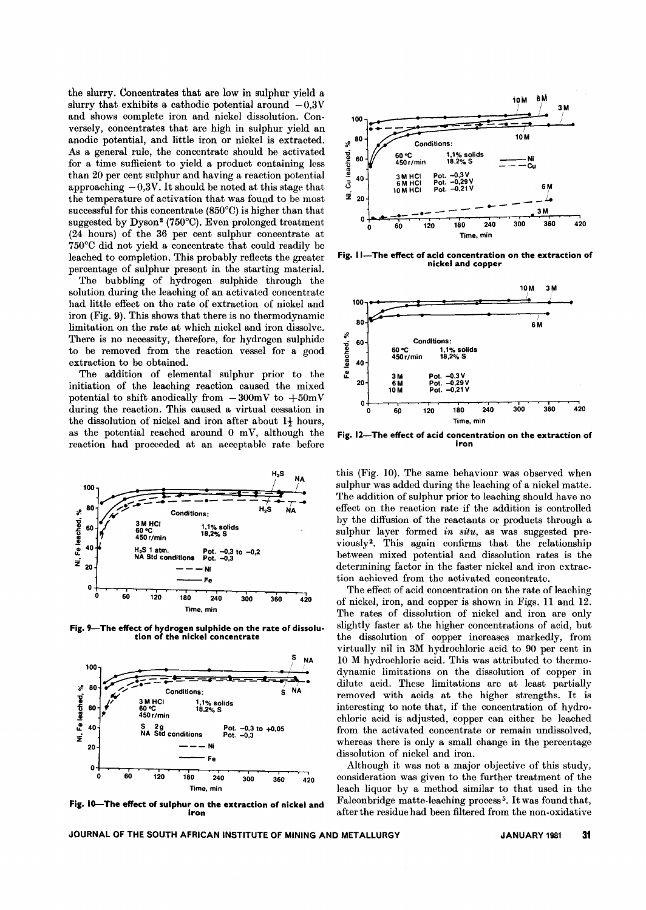the slurry. Concentrates that are low in sulphur yield a slurry that exhibits a cathodic potential around  $-0.3V$ and shows complete iron and nickel dissolution. Conversely, concentrates that are high in sulphur yield an anodic potential, and little iron or nickel is extracted. As a general rule, the concentrate should be activated for a time sufficient to yield a product containing less than 20 per cent sulphur and having a reaction potential approaching  $-0.3V$ . It should be noted at this stage that the temperature of activation that was found to be most successful for this concentrate (850°C) is higher than that suggested by Dyson2 (750°C). Even prolonged treatment (24 hours) of the 36 per cent sulphur concentrate at 750°C did not yield a concentrate that could readily be leached to completion. This probably reflects the greater percentage of sulphur present in the starting material.

The bubbling of hydrogen sulphide through the solution during the leaching of an activated concentrate had little effect on the rate of extraction of nickel and iron (Fig. 9). This shows that there is no thermodynamic limitation on the rate at which nickel and iron dissolve. There is no necessity, therefore, for hydrogen sulphide to be removed from the reaction vessel for a good extraction to be obtained.

The addition of elemental sulphur prior to the initiation of the leaching reaction caused the mixed potential to shift anodically from  $-300$ mV to  $+50$ mV during the reaction. This caused a virtual cessation in the dissolution of nickel and iron after about  $1\frac{1}{2}$  hours, as the potential reached around  $0$  mV, although the reaction had proceeded at an acceptable rate before



Fig. 9-The effect of hydrogen sulphide on the rate of dissolution of the nickel concentrate



Fig. IO-The effect of sulphur on the extraction of nickel and iron



Fig. 11-The effect of acid concentration on the extraction of nickel and copper



Fig. 12-The effect of acid concentration on the extraction of iron

this (Fig. 10). The same behaviour was observed when sulphur was added during the leaching of a nickel matte. The addition of sulphur prior to leaching should have no effect on the reaction rate if the addition is controlled by the diffusion of the reactants or products through a sulphur layer formed *in situ,* as was suggested previously2. This again confirms that the relationship between mixed potential and dissolution rates is the determining factor in the faster nickel and iron extraction achieved from the activated concentrate.

The effect of acid concentration on the rate of leaching of nickel, iron, and copper is shown in Figs. 11 and 12. The rates of dissolution of nickel and iron are only slightly faster at the higher concentrations of acid, but the dissolution of copper increases markedly, from virtually nil in 3M hydrochloric acid to 90 per cent in 10 M hydrochloric acid. This was attributed to thermo. dynamic limitations on the dissolution of copper in dilute acid. These limitations are at least partially removed with acids at the higher strengths. It is interesting to note that, if the concentration of hydrochloric acid is adjusted, copper can either be leached from the activated concentrate or remain undissolved, whereas there is only a small change in the percentage dissolution of nickel and iron.

Although it was not a major objective of this study, consideration was given to the further treatment of the leach liquor by a method similar to that used in the Falconbridge matte-leaching process<sup>5</sup>. It was found that, after the residue had been filtered from the non-oxidative